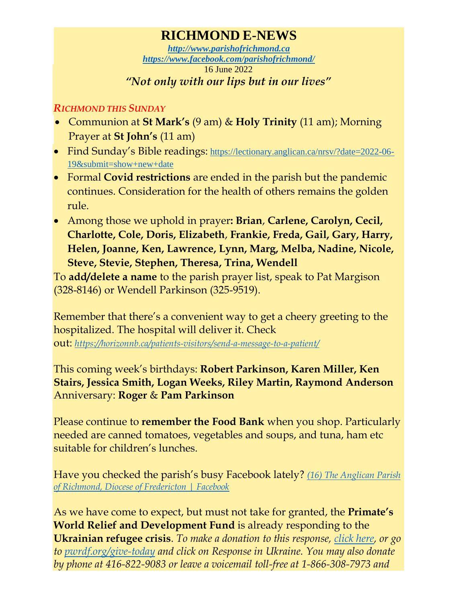## **RICHMOND E-NEWS**

*[http://www.parishofrichmond.ca](http://www.parishofrichmond.ca/) <https://www.facebook.com/parishofrichmond/>* 16 June 2022 *"Not only with our lips but in our lives"*

## *RICHMOND THIS SUNDAY*

- Communion at **St Mark's** (9 am) & **Holy Trinity** (11 am); Morning Prayer at **St John's** (11 am)
- Find Sunday's Bible readings: [https://lectionary.anglican.ca/nrsv/?date=2022-06-](https://lectionary.anglican.ca/nrsv/?date=2022-06-19&submit=show+new+date) [19&submit=show+new+date](https://lectionary.anglican.ca/nrsv/?date=2022-06-19&submit=show+new+date)
- Formal **Covid restrictions** are ended in the parish but the pandemic continues. Consideration for the health of others remains the golden rule.
- Among those we uphold in prayer**: Brian**, **Carlene, Carolyn, Cecil, Charlotte, Cole, Doris, Elizabeth**, **Frankie, Freda, Gail, Gary, Harry, Helen, Joanne, Ken, Lawrence, Lynn, Marg, Melba, Nadine, Nicole, Steve, Stevie, Stephen, Theresa, Trina, Wendell**

To **add/delete a name** to the parish prayer list, speak to Pat Margison (328-8146) or Wendell Parkinson (325-9519).

Remember that there's a convenient way to get a cheery greeting to the hospitalized. The hospital will deliver it. Check

out: *<https://horizonnb.ca/patients-visitors/send-a-message-to-a-patient/>*

This coming week's birthdays: **Robert Parkinson, Karen Miller, Ken Stairs, Jessica Smith, Logan Weeks, Riley Martin, Raymond Anderson** Anniversary: **Roger** & **Pam Parkinson**

Please continue to **remember the Food Bank** when you shop. Particularly needed are canned tomatoes, vegetables and soups, and tuna, ham etc suitable for children's lunches.

Have you checked the parish's busy Facebook lately? *[\(16\) The Anglican Parish](https://www.facebook.com/parishofrichmond/)  [of Richmond, Diocese of Fredericton | Facebook](https://www.facebook.com/parishofrichmond/)*

As we have come to expect, but must not take for granted, the **Primate's World Relief and Development Fund** is already responding to the **Ukrainian refugee crisis**. *To make a donation to this response, [click here,](https://interland3.donorperfect.net/weblink/WebLink.aspx?name=E344492QE&id=45) or go to [pwrdf.org/give-today](https://pwrdf.org/pwrdf-supports-bc-floods-with-10000-grant/) and click on Response in Ukraine. You may also donate by phone at 416-822-9083 or leave a voicemail toll-free at 1-866-308-7973 and*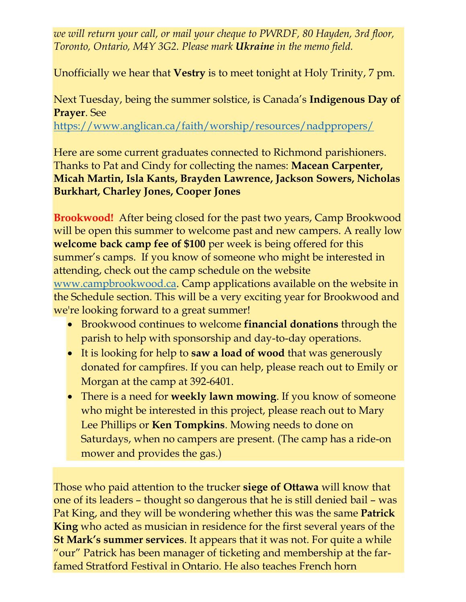*we will return your call, or mail your cheque to PWRDF, 80 Hayden, 3rd floor, Toronto, Ontario, M4Y 3G2. Please mark Ukraine in the memo field.*

Unofficially we hear that **Vestry** is to meet tonight at Holy Trinity, 7 pm.

Next Tuesday, being the summer solstice, is Canada's **Indigenous Day of Prayer**. See

<https://www.anglican.ca/faith/worship/resources/nadppropers/>

Here are some current graduates connected to Richmond parishioners. Thanks to Pat and Cindy for collecting the names: **Macean Carpenter, Micah Martin, Isla Kants, Brayden Lawrence, Jackson Sowers, Nicholas Burkhart, Charley Jones, Cooper Jones** 

**Brookwood!** After being closed for the past two years, Camp Brookwood will be open this summer to welcome past and new campers. A really low **welcome back camp fee of \$100** per week is being offered for this summer's camps. If you know of someone who might be interested in attending, check out the camp schedule on the website [www.campbrookwood.ca.](http://www.campbrookwood.ca/) Camp applications available on the website in the Schedule section. This will be a very exciting year for Brookwood and we're looking forward to a great summer!

- Brookwood continues to welcome **financial donations** through the parish to help with sponsorship and day-to-day operations.
- It is looking for help to **saw a load of wood** that was generously donated for campfires. If you can help, please reach out to Emily or Morgan at the camp at 392-6401.
- There is a need for **weekly lawn mowing**. If you know of someone who might be interested in this project, please reach out to Mary Lee Phillips or **Ken Tompkins**. Mowing needs to done on Saturdays, when no campers are present. (The camp has a ride-on mower and provides the gas.)

Those who paid attention to the trucker **siege of Ottawa** will know that one of its leaders – thought so dangerous that he is still denied bail – was Pat King, and they will be wondering whether this was the same **Patrick King** who acted as musician in residence for the first several years of the **St Mark's summer services**. It appears that it was not. For quite a while "our" Patrick has been manager of ticketing and membership at the farfamed Stratford Festival in Ontario. He also teaches French horn